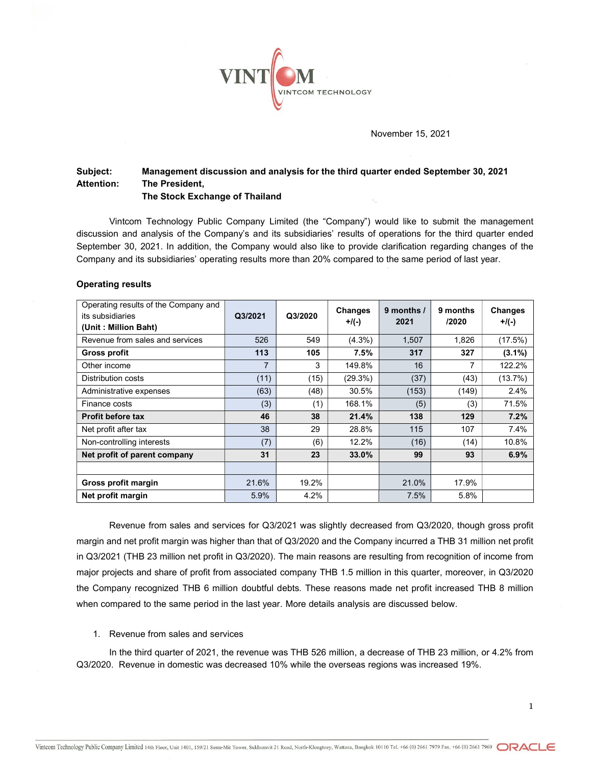

November 15, 2021

# Subject: Management discussion and analysis for the third quarter ended September 30, 2021 Attention: The President,

The Stock Exchange of Thailand

Vintcom Technology Public Company Limited (the "Company") would like to submit the management discussion and analysis of the Company's and its subsidiaries' results of operations for the third quarter ended September 30, 2021. In addition, the Company would also like to provide clarification regarding changes of the Company and its subsidiaries' operating results more than 20% compared to the same period of last year.

| Operating results of the Company and<br>its subsidiaries<br>(Unit: Million Baht) | Q3/2021 | Q3/2020 | Changes<br>$+$ /(-) | 9 months /<br>2021 | 9 months<br>/2020 | Changes<br>+/(-) |
|----------------------------------------------------------------------------------|---------|---------|---------------------|--------------------|-------------------|------------------|
| Revenue from sales and services                                                  | 526     | 549     | $(4.3\%)$           | 1,507              | 1,826             | (17.5%)          |
| <b>Gross profit</b>                                                              | 113     | 105     | 7.5%                | 317                | 327               | $(3.1\%)$        |
| Other income                                                                     | 7       | 3       | 149.8%              | 16                 | 7                 | 122.2%           |
| Distribution costs                                                               | (11)    | (15)    | (29.3%)             | (37)               | (43)              | (13.7%)          |
| Administrative expenses                                                          | (63)    | (48)    | 30.5%               | (153)              | (149)             | 2.4%             |
| Finance costs                                                                    | (3)     | (1)     | 168.1%              | (5)                | (3)               | 71.5%            |
| <b>Profit before tax</b>                                                         | 46      | 38      | 21.4%               | 138                | 129               | 7.2%             |
| Net profit after tax                                                             | 38      | 29      | 28.8%               | 115                | 107               | 7.4%             |
| Non-controlling interests                                                        | (7)     | (6)     | 12.2%               | (16)               | (14)              | 10.8%            |
| Net profit of parent company                                                     | 31      | 23      | 33.0%               | 99                 | 93                | 6.9%             |
|                                                                                  |         |         |                     |                    |                   |                  |
| Gross profit margin                                                              | 21.6%   | 19.2%   |                     | 21.0%              | 17.9%             |                  |
| Net profit margin                                                                | 5.9%    | 4.2%    |                     | 7.5%               | 5.8%              |                  |

#### Operating results

Revenue from sales and services for Q3/2021 was slightly decreased from Q3/2020, though gross profit margin and net profit margin was higher than that of Q3/2020 and the Company incurred a THB 31 million net profit in Q3/2021 (THB 23 million net profit in Q3/2020). The main reasons are resulting from recognition of income from major projects and share of profit from associated company THB 1.5 million in this quarter, moreover, in Q3/2020 the Company recognized THB 6 million doubtful debts. These reasons made net profit increased THB 8 million when compared to the same period in the last year. More details analysis are discussed below.

# 1. Revenue from sales and services

In the third quarter of 2021, the revenue was THB 526 million, a decrease of THB 23 million, or 4.2% from Q3/2020. Revenue in domestic was decreased 10% while the overseas regions was increased 19%.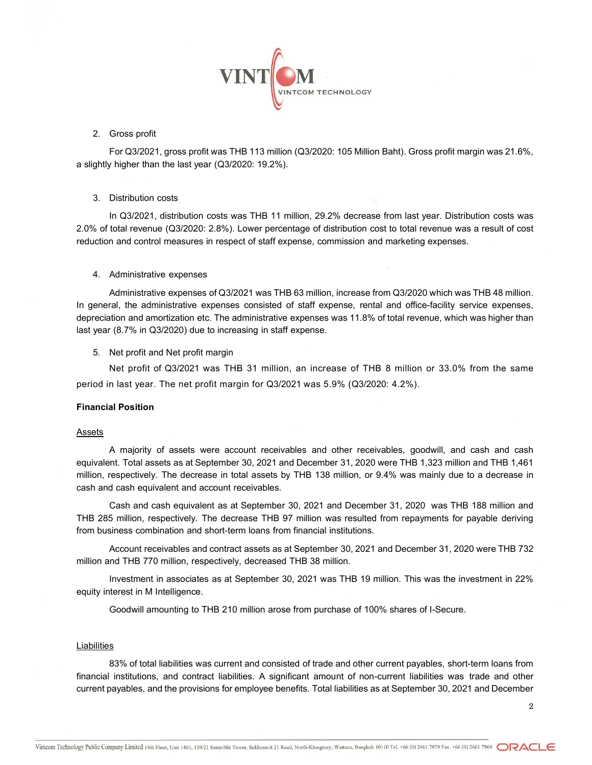

## 2. Gross profit

For Q3/2021, gross profit was THB 113 million (Q3/2020: 105 Million Baht). Gross profit margin was 21.6%, a slightly higher than the last year (Q3/2020: 19.2%).

#### 3. Distribution costs

In Q3/2021, distribution costs was THB 11 million, 29.2% decrease from last year. Distribution costs was 2.0% of total revenue (Q3/2020: 2.8%). Lower percentage of distribution cost to total revenue was a result of cost reduction and control measures in respect of staff expense, commission and marketing expenses.

#### 4. Administrative expenses

Administrative expenses of Q3/2021 was THB 63 million, increase from Q3/2020 which was THB 48 million. In general, the administrative expenses consisted of staff expense, rental and office-facility service expenses, depreciation and amortization etc. The administrative expenses was 11.8% of total revenue, which was higher than last year (8.7% in Q3/2020) due to increasing in staff expense.

#### 5. Net profit and Net profit margin

Net profit of Q3/2021 was THB 31 million, an increase of THB 8 million or 33.0% from the same period in last year. The net profit margin for Q3/2021 was 5.9% (Q3/2020: 4.2%).

# Financial Position

#### Assets

A majority of assets were account receivables and other receivables, goodwill, and cash and cash equivalent. Total assets as at September 30, 2021 and December 31, 2020 were THB 1,323 million and THB 1,461 million, respectively. The decrease in total assets by THB 138 million, or 9.4% was mainly due to a decrease in cash and cash equivalent and account receivables.

Cash and cash equivalent as at September 30, 2021 and December 31, 2020 was THB 188 million and THB 285 million, respectively. The decrease THB 97 million was resulted from repayments for payable deriving from business combination and short-term loans from financial institutions.

Account receivables and contract assets as at September 30, 2021 and December 31, 2020 were THB 732 million and THB 770 million, respectively, decreased THB 38 million.

Investment in associates as at September 30, 2021 was THB 19 million. This was the investment in 22% equity interest in M Intelligence.

Goodwill amounting to THB 210 million arose from purchase of 100% shares of I-Secure.

#### Liabilities

83% of total liabilities was current and consisted of trade and other current payables, short-term loans from financial institutions, and contract liabilities. A significant amount of non-current liabilities was trade and other current payables, and the provisions for employee benefits. Total liabilities as at September 30, 2021 and December